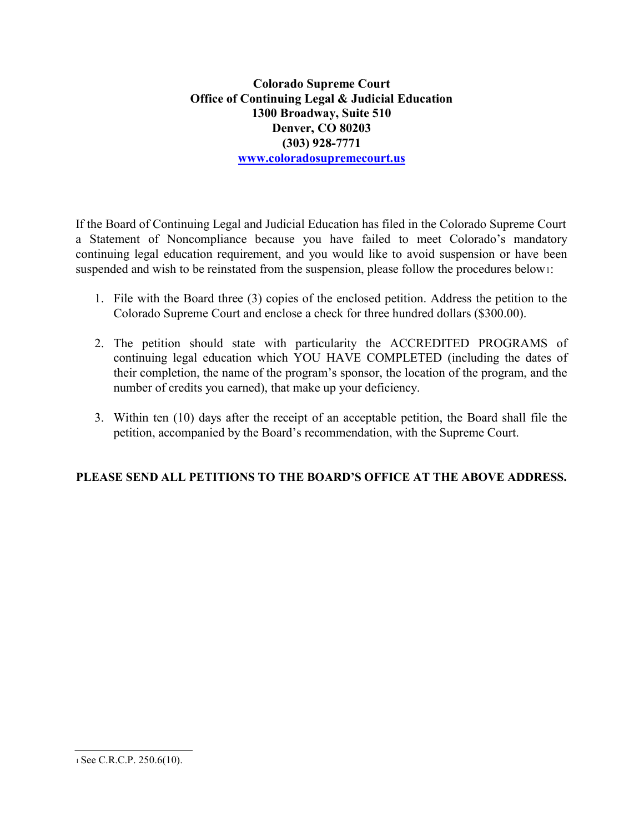Colorado Supreme Court Office of Continuing Legal & Judicial Education 1300 Broadway, Suite 510 Denver, CO 80203 (303) 928-7771 www.coloradosupremecourt.us

If the Board of Continuing Legal and Judicial Education has filed in the Colorado Supreme Court a Statement of Noncompliance because you have failed to meet Colorado's mandatory continuing legal education requirement, and you would like to avoid suspension or have been suspended and wish to be reinstated from the suspension, please follow the procedures below1:

- 1. File with the Board three (3) copies of the enclosed petition. Address the petition to the Colorado Supreme Court and enclose a check for three hundred dollars (\$300.00).
- 2. The petition should state with particularity the ACCREDITED PROGRAMS of continuing legal education which YOU HAVE COMPLETED (including the dates of their completion, the name of the program's sponsor, the location of the program, and the number of credits you earned), that make up your deficiency.
- 3. Within ten (10) days after the receipt of an acceptable petition, the Board shall file the petition, accompanied by the Board's recommendation, with the Supreme Court.

## PLEASE SEND ALL PETITIONS TO THE BOARD'S OFFICE AT THE ABOVE ADDRESS.